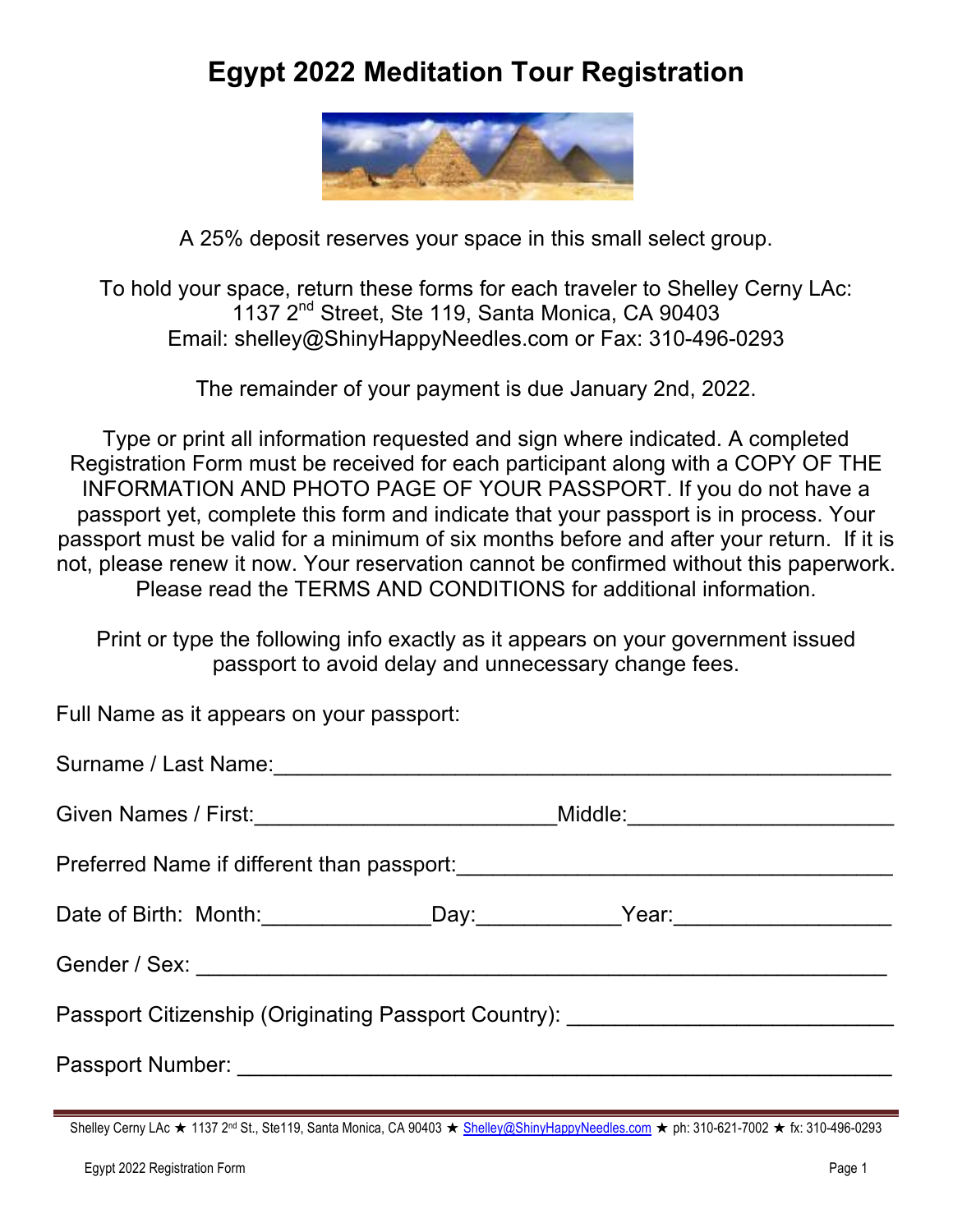# **Egypt 2022 Meditation Tour Registration**



A 25% deposit reserves your space in this small select group.

To hold your space, return these forms for each traveler to Shelley Cerny LAc: 1137 2<sup>nd</sup> Street, Ste 119, Santa Monica, CA 90403 Email: shelley@ShinyHappyNeedles.com or Fax: 310-496-0293

The remainder of your payment is due January 2nd, 2022.

Type or print all information requested and sign where indicated. A completed Registration Form must be received for each participant along with a COPY OF THE INFORMATION AND PHOTO PAGE OF YOUR PASSPORT. If you do not have a passport yet, complete this form and indicate that your passport is in process. Your passport must be valid for a minimum of six months before and after your return. If it is not, please renew it now. Your reservation cannot be confirmed without this paperwork. Please read the TERMS AND CONDITIONS for additional information.

Print or type the following info exactly as it appears on your government issued passport to avoid delay and unnecessary change fees.

Full Name as it appears on your passport:

| Given Names / First: ___________________________________Middle:_________________ |  |  |  |  |
|----------------------------------------------------------------------------------|--|--|--|--|
|                                                                                  |  |  |  |  |
| Date of Birth: Month: _________________Day: _____________Year: _________________ |  |  |  |  |
|                                                                                  |  |  |  |  |
| Passport Citizenship (Originating Passport Country): ___________________________ |  |  |  |  |
|                                                                                  |  |  |  |  |

Shelley Cerny LAc ★ 1137 2<sup>nd</sup> St., Ste119, Santa Monica, CA 90403 ★ Shelley@ShinyHappyNeedles.com ★ ph: 310-621-7002 ★ fx: 310-496-0293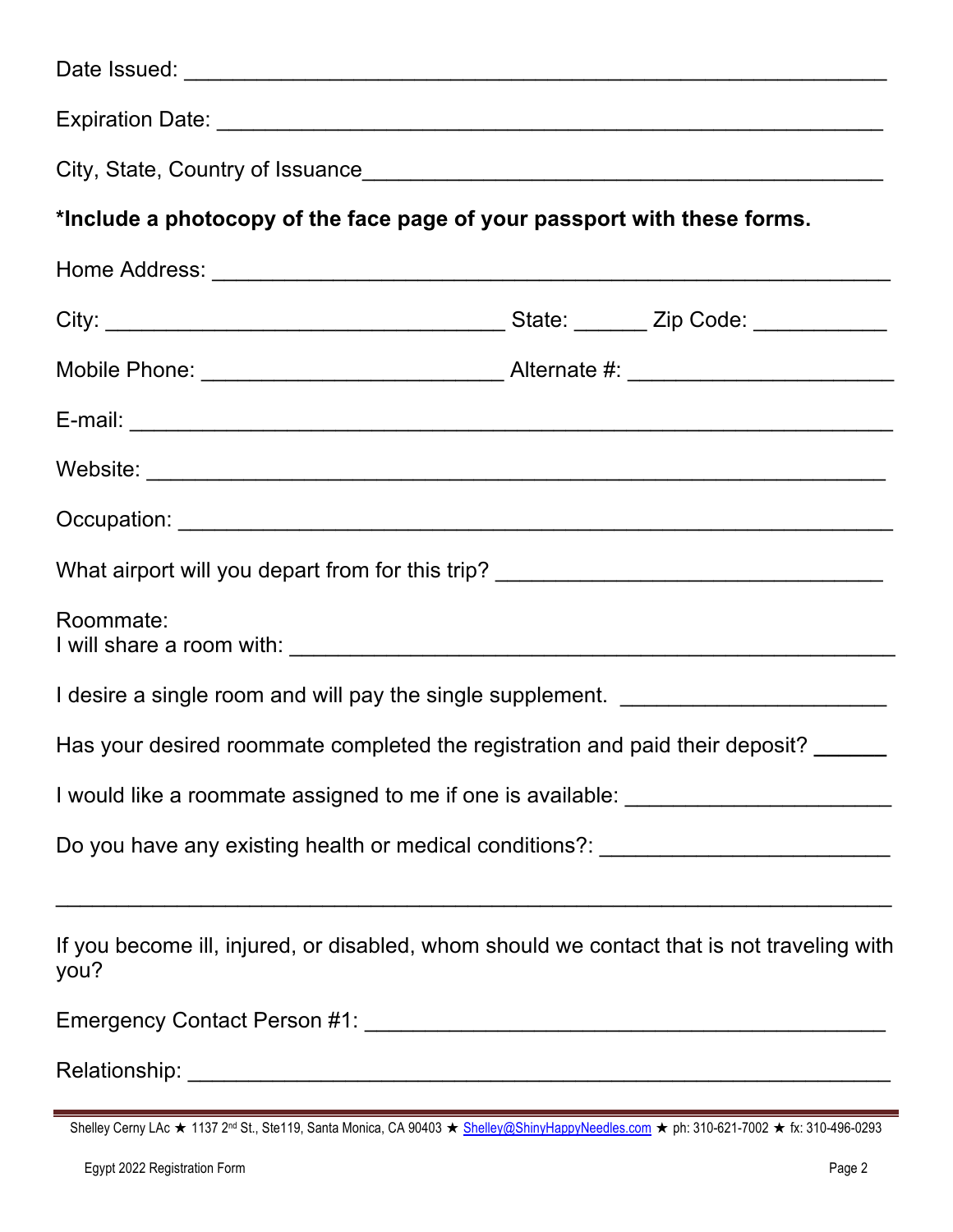| *Include a photocopy of the face page of your passport with these forms.                           |  |
|----------------------------------------------------------------------------------------------------|--|
|                                                                                                    |  |
|                                                                                                    |  |
|                                                                                                    |  |
|                                                                                                    |  |
|                                                                                                    |  |
|                                                                                                    |  |
| What airport will you depart from for this trip? _______________________________                   |  |
| Roommate:                                                                                          |  |
| I desire a single room and will pay the single supplement. _____________________                   |  |
| Has your desired roommate completed the registration and paid their deposit?                       |  |
| I would like a roommate assigned to me if one is available: ____________________                   |  |
| Do you have any existing health or medical conditions?: ________________________                   |  |
| If you become ill, injured, or disabled, whom should we contact that is not traveling with<br>you? |  |
|                                                                                                    |  |
|                                                                                                    |  |

| Shelley Cerny LAc ★ 1137 2 <sup>nd</sup> St., Ste119, Santa Monica, CA 90403 ★ Shelley@ShinyHappyNeedles.com ★ ph: 310-621-7002 ★ fx: 310-496-0293 |  |  |  |
|----------------------------------------------------------------------------------------------------------------------------------------------------|--|--|--|
|----------------------------------------------------------------------------------------------------------------------------------------------------|--|--|--|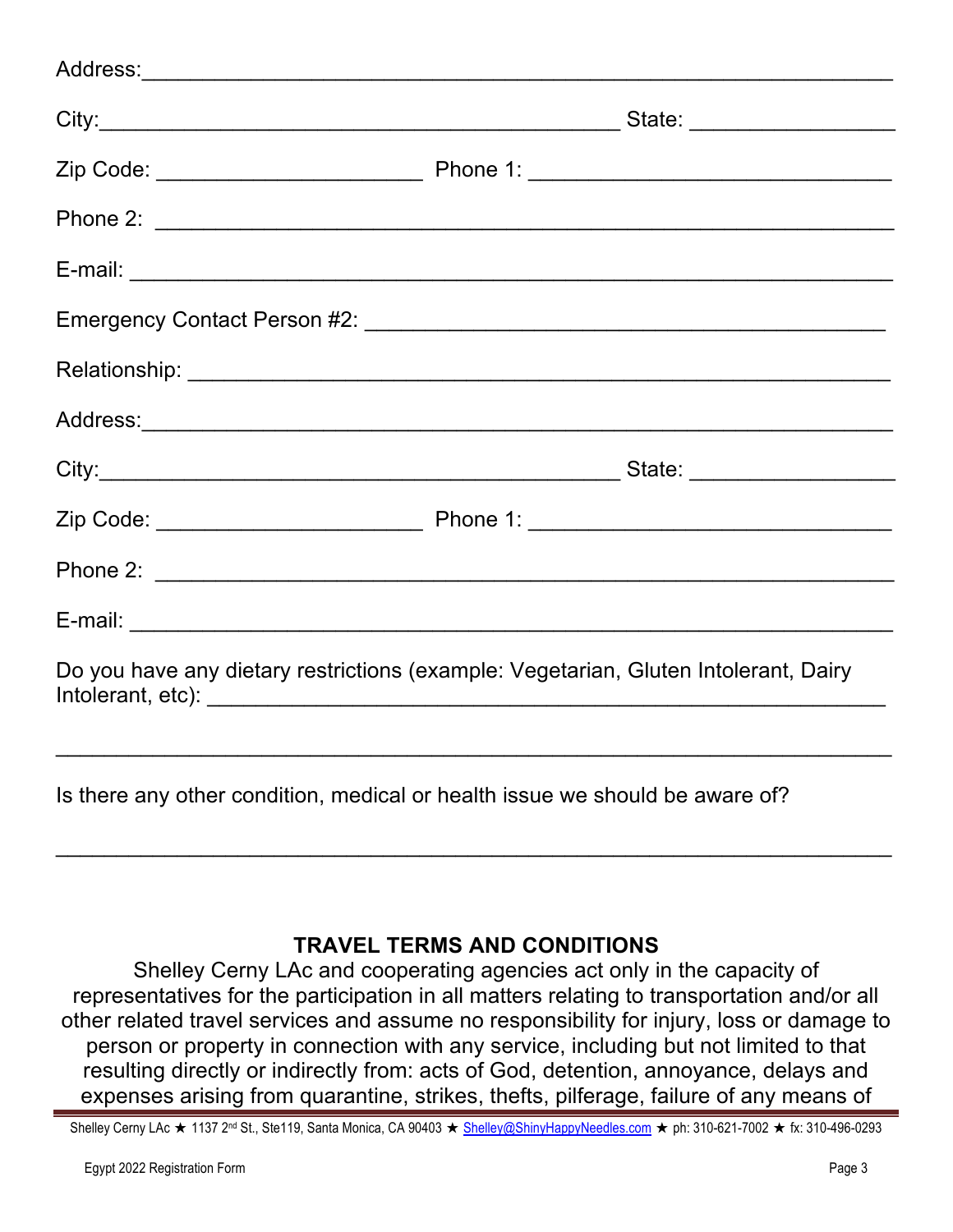| Do you have any dietary restrictions (example: Vegetarian, Gluten Intolerant, Dairy |  |
|-------------------------------------------------------------------------------------|--|
| Is there any other condition, medical or health issue we should be aware of?        |  |

# **TRAVEL TERMS AND CONDITIONS**

 $\mathcal{L}_\text{max}$  , and the contract of the contract of the contract of the contract of the contract of the contract of the contract of the contract of the contract of the contract of the contract of the contract of the contr

Shelley Cerny LAc and cooperating agencies act only in the capacity of representatives for the participation in all matters relating to transportation and/or all other related travel services and assume no responsibility for injury, loss or damage to person or property in connection with any service, including but not limited to that resulting directly or indirectly from: acts of God, detention, annoyance, delays and expenses arising from quarantine, strikes, thefts, pilferage, failure of any means of

Shelley Cerny LAc ★ 1137 2<sup>nd</sup> St., Ste119, Santa Monica, CA 90403 ★ Shelley@ShinyHappyNeedles.com ★ ph: 310-621-7002 ★ fx: 310-496-0293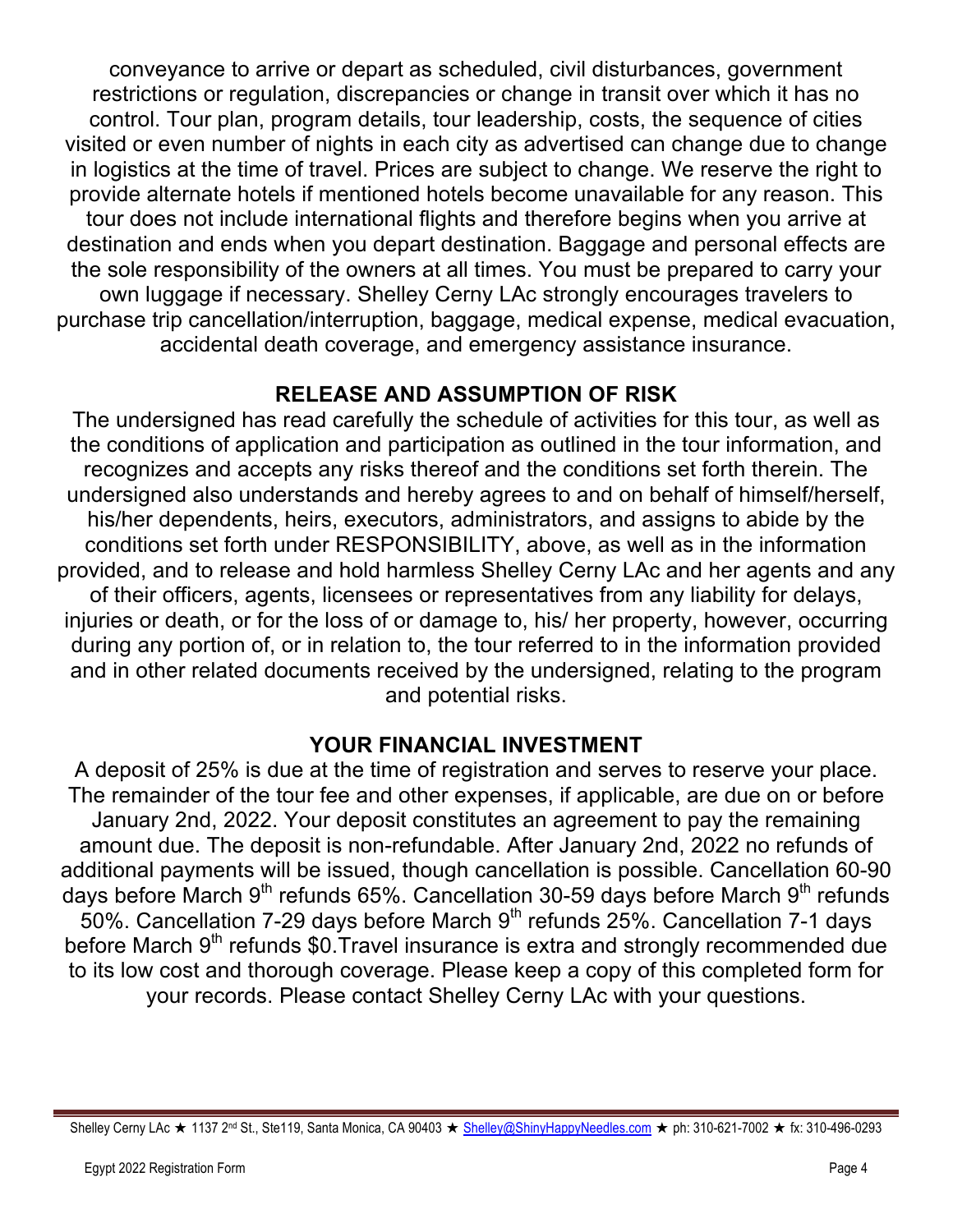conveyance to arrive or depart as scheduled, civil disturbances, government restrictions or regulation, discrepancies or change in transit over which it has no control. Tour plan, program details, tour leadership, costs, the sequence of cities visited or even number of nights in each city as advertised can change due to change in logistics at the time of travel. Prices are subject to change. We reserve the right to provide alternate hotels if mentioned hotels become unavailable for any reason. This tour does not include international flights and therefore begins when you arrive at destination and ends when you depart destination. Baggage and personal effects are the sole responsibility of the owners at all times. You must be prepared to carry your own luggage if necessary. Shelley Cerny LAc strongly encourages travelers to purchase trip cancellation/interruption, baggage, medical expense, medical evacuation, accidental death coverage, and emergency assistance insurance.

## **RELEASE AND ASSUMPTION OF RISK**

The undersigned has read carefully the schedule of activities for this tour, as well as the conditions of application and participation as outlined in the tour information, and recognizes and accepts any risks thereof and the conditions set forth therein. The undersigned also understands and hereby agrees to and on behalf of himself/herself, his/her dependents, heirs, executors, administrators, and assigns to abide by the conditions set forth under RESPONSIBILITY, above, as well as in the information provided, and to release and hold harmless Shelley Cerny LAc and her agents and any of their officers, agents, licensees or representatives from any liability for delays, injuries or death, or for the loss of or damage to, his/ her property, however, occurring during any portion of, or in relation to, the tour referred to in the information provided and in other related documents received by the undersigned, relating to the program and potential risks.

### **YOUR FINANCIAL INVESTMENT**

A deposit of 25% is due at the time of registration and serves to reserve your place. The remainder of the tour fee and other expenses, if applicable, are due on or before January 2nd, 2022. Your deposit constitutes an agreement to pay the remaining amount due. The deposit is non-refundable. After January 2nd, 2022 no refunds of additional payments will be issued, though cancellation is possible. Cancellation 60-90 days before March 9<sup>th</sup> refunds 65%. Cancellation 30-59 days before March 9<sup>th</sup> refunds  $50\%$ . Cancellation 7-29 days before March 9<sup>th</sup> refunds 25%. Cancellation 7-1 days before March 9<sup>th</sup> refunds \$0.Travel insurance is extra and strongly recommended due to its low cost and thorough coverage. Please keep a copy of this completed form for your records. Please contact Shelley Cerny LAc with your questions.

Shelley Cerny LAc ★ 1137 2<sup>nd</sup> St., Ste119, Santa Monica, CA 90403 ★ Shelley@ShinyHappyNeedles.com ★ ph: 310-621-7002 ★ fx: 310-496-0293